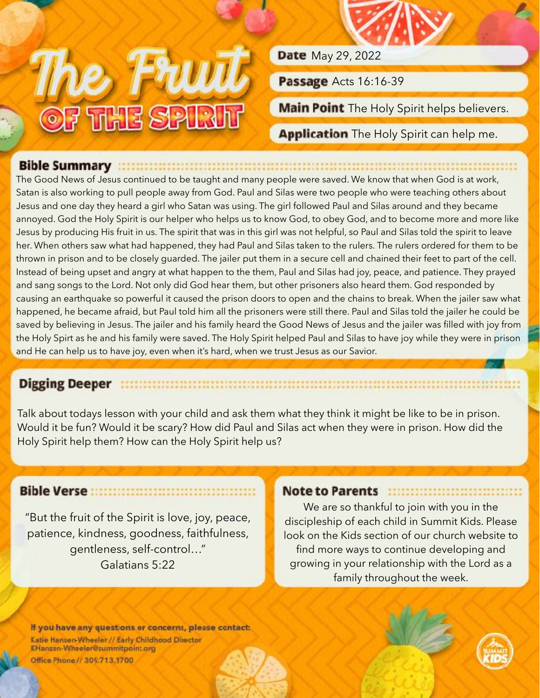

**Date** May 29, 2022

Passage Acts 16:16-39

Main Point The Holy Spirit helps believers.

Application The Holy Spirit can help me.

## Bible Summary **Executive Summary**

The Good News of Jesus continued to be taught and many people were saved. We know that when God is at work, Satan is also working to pull people away from God. Paul and Silas were two people who were teaching others about Jesus and one day they heard a girl who Satan was using. The girl followed Paul and Silas around and they became annoyed. God the Holy Spirit is our helper who helps us to know God, to obey God, and to become more and more like Jesus by producing His fruit in us. The spirit that was in this girl was not helpful, so Paul and Silas told the spirit to leave her. When others saw what had happened, they had Paul and Silas taken to the rulers. The rulers ordered for them to be thrown in prison and to be closely guarded. The jailer put them in a secure cell and chained their feet to part of the cell. Instead of being upset and angry at what happen to the them, Paul and Silas had joy, peace, and patience. They prayed and sang songs to the Lord. Not only did God hear them, but other prisoners also heard them. God responded by causing an earthquake so powerful it caused the prison doors to open and the chains to break. When the jailer saw what happened, he became afraid, but Paul told him all the prisoners were still there. Paul and Silas told the jailer he could be saved by believing in Jesus. The jailer and his family heard the Good News of Jesus and the jailer was filled with joy from the Holy Spirt as he and his family were saved. The Holy Spirit helped Paul and Silas to have joy while they were in prison and He can help us to have joy, even when it's hard, when we trust Jesus as our Savior.

## Digging Deeper the continuous continuous continuous continuous continuous continuous

Talk about todays lesson with your child and ask them what they think it might be like to be in prison. Would it be fun? Would it be scary? How did Paul and Silas act when they were in prison. How did the Holy Spirit help them? How can the Holy Spirit help us?

## 

"But the fruit of the Spirit is love, joy, peace, patience, kindness, goodness, faithfulness, gentleness, self-control…" Galatians 5:22

## Note to Parents **Microsoft Containers**

We are so thankful to join with you in the discipleship of each child in Summit Kids. Please look on the Kids section of our church website to find more ways to continue developing and growing in your relationship with the Lord as a family throughout the week.

If you have any questions or concerns, please contact: Katie Hansen-Wheeler // Early Childhood Director KHansen-Wheeler@summitpoint.org Office Phone // 309.713.1700